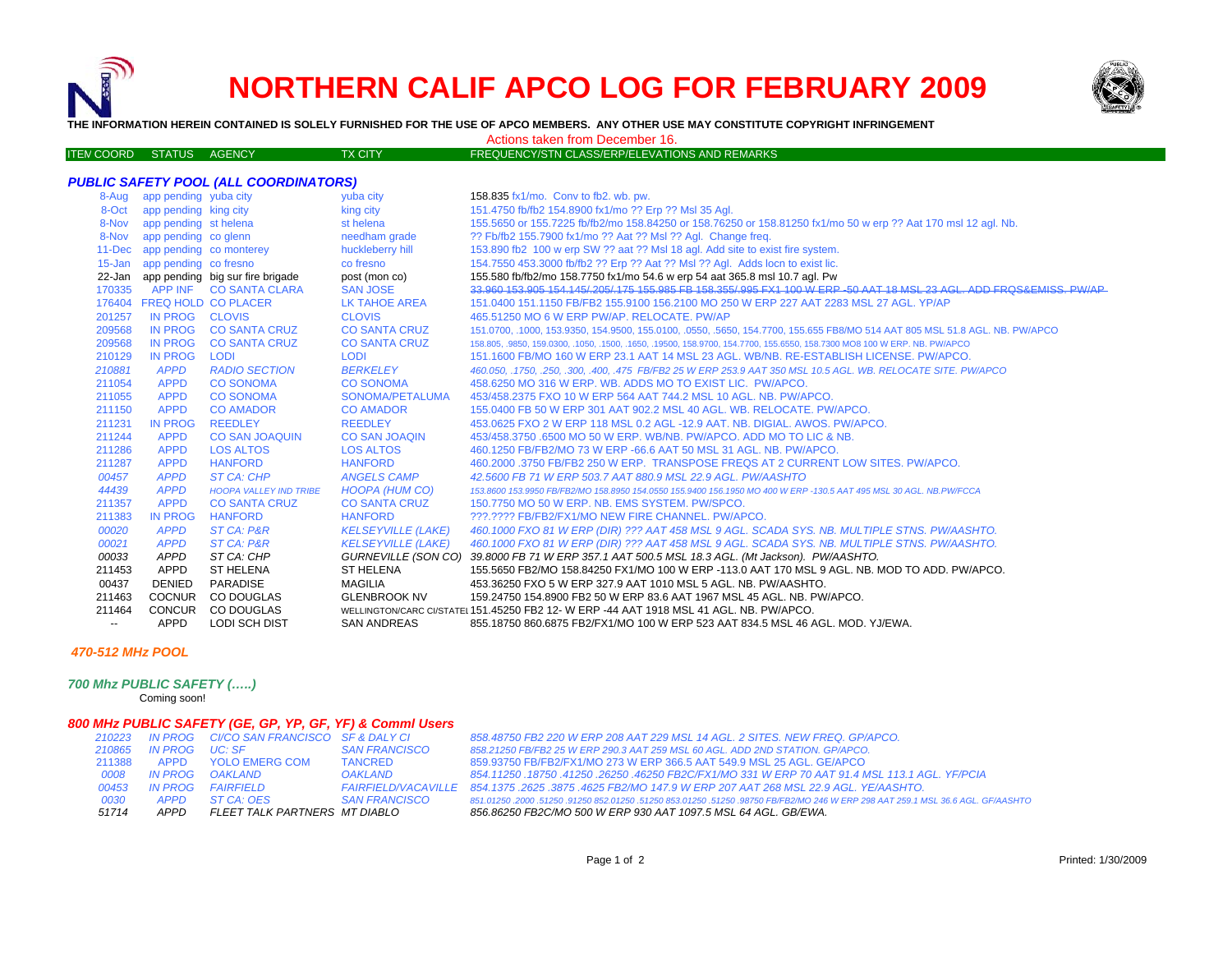## **NORTHERN CALIF APCO LOG FOR FEBRUARY 2009**



**THE INFORMATION HEREIN CONTAINED IS SOLELY FURNISHED FOR THE USE OF APCO MEMBERS. ANY OTHER USE MAY CONSTITUTE COPYRIGHT INFRINGEMENT**

Actions taken from December 16.

| <b>ITEN COORD STATUS AGENCY</b> |  | <b>TX CITY</b> | FREQUENCY/STN CLASS/ERP/ELEVATIONS AND REMARKS |
|---------------------------------|--|----------------|------------------------------------------------|
|                                 |  |                |                                                |

| 8-Aug      | app pending yuba city   |                                  | yuba city                 | 158.835 fx1/mo. Conv to fb2, wb. pw.                                                                                        |
|------------|-------------------------|----------------------------------|---------------------------|-----------------------------------------------------------------------------------------------------------------------------|
| 8-Oct      | app pending king city   |                                  | king city                 | 151.4750 fb/fb2 154.8900 fx1/mo ?? Erp ?? Msl 35 Agl.                                                                       |
| 8-Nov      | app pending st helena   |                                  | st helena                 | 155.5650 or 155.7225 fb/fb2/mo 158.84250 or 158.76250 or 158.81250 fx1/mo 50 w erp ?? Aat 170 msl 12 agl. Nb.               |
| 8-Nov      | app pending co glenn    |                                  | needham grade             | ?? Fb/fb2 155.7900 fx1/mo ?? Aat ?? Msl ?? Agl. Change freq.                                                                |
| $11 - Dec$ | app pending co monterey |                                  | huckleberry hill          | 153.890 fb2 100 w erp SW ?? aat ?? MsI 18 agl. Add site to exist fire system.                                               |
| $15 - Jan$ | app pending co fresno   |                                  | co fresno                 | 154.7550 453.3000 fb/fb2 ?? Erp ?? Aat ?? Msl ?? Agl. Adds locn to exist lic.                                               |
| 22-Jan     |                         | app pending big sur fire brigade | post (mon co)             | 155.580 fb/fb2/mo 158.7750 fx1/mo 54.6 w erp 54 aat 365.8 msl 10.7 agl. Pw                                                  |
| 170335     |                         | APP INF CO SANTA CLARA           | <b>SAN JOSE</b>           | 33,960 153,905 154,145/205/175 155,985 FB 158,355/995 FX1 100 W ERP-50 AAT 18 MSL 23 AGL, ADD FROS&EMISS, PW/AP             |
| 176404     |                         | <b>FREQ HOLD CO PLACER</b>       | LK TAHOE AREA             | 151,0400 151,1150 FB/FB2 155,9100 156,2100 MO 250 W ERP 227 AAT 2283 MSL 27 AGL, YP/AP                                      |
| 201257     | IN PROG CLOVIS          |                                  | <b>CLOVIS</b>             | 465.51250 MO 6 W ERP PW/AP, RELOCATE, PW/AP                                                                                 |
| 209568     | IN PROG                 | <b>CO SANTA CRUZ</b>             | <b>CO SANTA CRUZ</b>      | 151.0700, .1000, 153.9350, 154.9500, 155.0100, .0550, .5650, 154.7700, 155.655 FB8/MO 514 AAT 805 MSL 51.8 AGL. NB. PW/APCO |
| 209568     | IN PROG                 | <b>CO SANTA CRUZ</b>             | <b>CO SANTA CRUZ</b>      | 158.805, 9850, 159.0300, 1050, 1500, 1650, 19500, 158.9700, 154.7700, 155.6550, 158.7300 MO8 100 W ERP. NB. PW/APCO         |
| 210129     | <b>IN PROG</b>          | <b>LODI</b>                      | <b>LODI</b>               | 151.1600 FB/MO 160 W ERP 23.1 AAT 14 MSL 23 AGL, WB/NB, RE-ESTABLISH LICENSE, PW/APCO,                                      |
| 210881     | <b>APPD</b>             | <b>RADIO SECTION</b>             | <b>BERKELEY</b>           | 460.050, .1750, .250, .300, .400, .475 FB/FB2 25 W ERP 253.9 AAT 350 MSL 10.5 AGL. WB. RELOCATE SITE. PW/APCO               |
| 211054     | <b>APPD</b>             | <b>CO SONOMA</b>                 | <b>CO SONOMA</b>          | 458.6250 MO 316 W ERP. WB. ADDS MO TO EXIST LIC. PW/APCO.                                                                   |
| 211055     | <b>APPD</b>             | <b>CO SONOMA</b>                 | SONOMA/PETALUMA           | 453/458.2375 FXO 10 W ERP 564 AAT 744.2 MSL 10 AGL, NB, PW/APCO,                                                            |
| 211150     | <b>APPD</b>             | <b>CO AMADOR</b>                 | <b>CO AMADOR</b>          | 155,0400 FB 50 W ERP 301 AAT 902.2 MSL 40 AGL, WB, RELOCATE, PW/APCO,                                                       |
| 211231     | <b>IN PROG</b>          | <b>REEDLEY</b>                   | <b>REEDLEY</b>            | 453.0625 FXO 2 W ERP 118 MSL 0.2 AGL -12.9 AAT. NB. DIGIAL, AWOS, PW/APCO.                                                  |
| 211244     | <b>APPD</b>             | <b>CO SAN JOAQUIN</b>            | <b>CO SAN JOAQIN</b>      | 453/458.3750 6500 MO 50 W ERP. WB/NB. PW/APCO, ADD MO TO LIC & NB.                                                          |
| 211286     | <b>APPD</b>             | <b>LOS ALTOS</b>                 | <b>LOS ALTOS</b>          | 460.1250 FB/FB2/MO 73 W ERP -66.6 AAT 50 MSL 31 AGL, NB, PW/APCO.                                                           |
| 211287     | <b>APPD</b>             | <b>HANFORD</b>                   | <b>HANFORD</b>            | 460,2000,3750 FB/FB2 250 W ERP. TRANSPOSE FREQS AT 2 CURRENT LOW SITES, PW/APCO,                                            |
| 00457      | <b>APPD</b>             | ST CA: CHP                       | <b>ANGELS CAMP</b>        | 42.5600 FB 71 W ERP 503.7 AAT 880.9 MSL 22.9 AGL, PW/AASHTO                                                                 |
| 44439      | <b>APPD</b>             | <b>HOOPA VALLEY IND TRIBE</b>    | HOOPA (HUM CO)            | 153,8600 153,9950 FB/FB2/MO 158,8950 154,0550 155,9400 156,1950 MO 400 W ERP -130,5 AAT 495 MSL 30 AGL, NB.PW/FCCA          |
| 211357     | <b>APPD</b>             | <b>CO SANTA CRUZ</b>             | <b>CO SANTA CRUZ</b>      | 150.7750 MO 50 W ERP. NB. EMS SYSTEM. PW/SPCO.                                                                              |
| 211383     | <b>IN PROG</b>          | <b>HANFORD</b>                   | <b>HANFORD</b>            | ???.???? FB/FB2/FX1/MO NEW FIRE CHANNEL. PW/APCO.                                                                           |
| 00020      | <b>APPD</b>             | ST CA: P&R                       | <b>KELSEYVILLE (LAKE)</b> | 460.1000 FXO 81 W ERP (DIR) ??? AAT 458 MSL 9 AGL. SCADA SYS. NB. MULTIPLE STNS. PW/AASHTO.                                 |
| 00021      | <b>APPD</b>             | ST CA: P&R                       | <b>KELSEYVILLE (LAKE)</b> | 460.1000 FXO 81 W ERP (DIR) ??? AAT 458 MSL 9 AGL. SCADA SYS. NB. MULTIPLE STNS. PW/AASHTO.                                 |
| 00033      | <b>APPD</b>             | ST CA: CHP                       | GURNEVILLE (SON CO)       | 39.8000 FB 71 W ERP 357.1 AAT 500.5 MSL 18.3 AGL. (Mt Jackson). PW/AASHTO.                                                  |
| 211453     | APPD                    | <b>ST HELENA</b>                 | <b>ST HELENA</b>          | 155,5650 FB2/MO 158,84250 FX1/MO 100 W ERP -113.0 AAT 170 MSL 9 AGL, NB, MOD TO ADD, PW/APCO,                               |
| 00437      | <b>DENIED</b>           | <b>PARADISE</b>                  | <b>MAGILIA</b>            | 453.36250 FXO 5 W ERP 327.9 AAT 1010 MSL 5 AGL. NB. PW/AASHTO.                                                              |
| 211463     | <b>COCNUR</b>           | CO DOUGLAS                       | <b>GLENBROOK NV</b>       | 159,24750 154,8900 FB2 50 W ERP 83.6 AAT 1967 MSL 45 AGL, NB, PW/APCO,                                                      |
| 211464     | <b>CONCUR</b>           | CO DOUGLAS                       |                           | WELLINGTON/CARC CI/STATEL 151.45250 FB2 12- W ERP -44 AAT 1918 MSL 41 AGL. NB. PW/APCO.                                     |
|            | APPD                    | <b>LODI SCH DIST</b>             | <b>SAN ANDREAS</b>        | 855.18750 860.6875 FB2/FX1/MO 100 W ERP 523 AAT 834.5 MSL 46 AGL. MOD. YJ/EWA.                                              |
|            |                         |                                  |                           |                                                                                                                             |

## *470-512 MHz POOL*

## *700 Mhz PUBLIC SAFETY (…..)*

Coming soon!

## *800 MHz PUBLIC SAFETY (GE, GP, YP, GF, YF) & Comml Users*

| 51714  | APPD           | FLEET TALK PARTNERS MT DIABLO            |                      | 856.86250 FB2C/MO 500 W ERP 930 AAT 1097.5 MSL 64 AGL. GB/EWA.                                                             |
|--------|----------------|------------------------------------------|----------------------|----------------------------------------------------------------------------------------------------------------------------|
| 0030   | <b>APPD</b>    | ST CA: OES                               | SAN FRANCISCO        | 851.01250.2000.51250.91250.852.01250.51250.853.01250.51250.98750.FB/FB2/MO 246 W ERP 298 AAT 259.1 MSL 36.6 AGL. GF/AASHTO |
| 00453  |                | IN PROG FAIRFIFI D                       |                      | FAIRFIELD/VACAVILLE 854.1375 .2625 .3875 .4625 FB2/MO 147.9 W ERP 207 AAT 268 MSL 22.9 AGL. YE/AASHTO.                     |
| 0008   | IN PROG        | OAKLAND                                  | <b>OAKLAND</b>       | 854.11250 .18750 .41250 .26250 .46250 FB2C/FX1/MO 331 W ERP 70 AAT 91.4 MSL 113.1 AGL. YF/PCIA                             |
| 211388 |                | APPD YOLO EMERG COM                      | <b>TANCRED</b>       | 859.93750 FB/FB2/FX1/MO 273 W ERP 366.5 AAT 549.9 MSL 25 AGL, GE/APCO                                                      |
| 210865 | IN PROG UC: SF |                                          | <b>SAN FRANCISCO</b> | 858.21250 FB/FB2 25 W ERP 290.3 AAT 259 MSL 60 AGL. ADD 2ND STATION, GP/APCO.                                              |
| 210223 |                | IN PROG CI/CO SAN FRANCISCO SF & DALY CI |                      | 858.48750 FB2 220 W ERP 208 AAT 229 MSL 14 AGL, 2 SITES, NEW FREQ, GP/APCO,                                                |
|        |                |                                          |                      |                                                                                                                            |